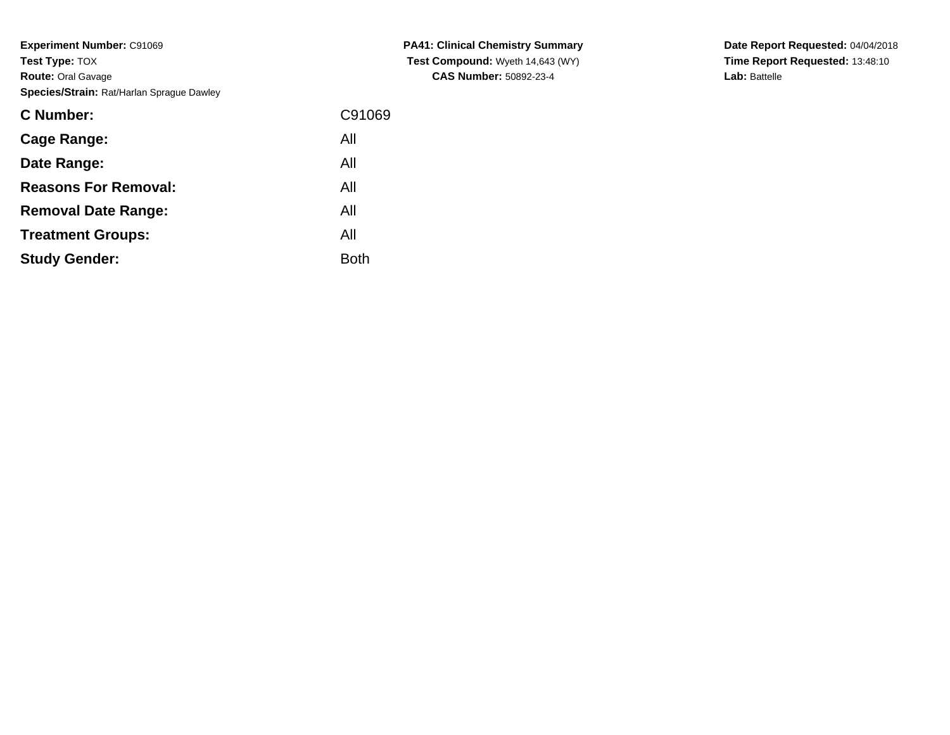| <b>C</b> Number:            | C91069 |
|-----------------------------|--------|
| Cage Range:                 | All    |
| Date Range:                 | All    |
| <b>Reasons For Removal:</b> | All    |
| <b>Removal Date Range:</b>  | All    |
| <b>Treatment Groups:</b>    | All    |
| <b>Study Gender:</b>        | Both   |

**PA41: Clinical Chemistry Summary Test Compound:** Wyeth 14,643 (WY)**CAS Number:** 50892-23-4

**Date Report Requested:** 04/04/2018 **Time Report Requested:** 13:48:10**Lab:** Battelle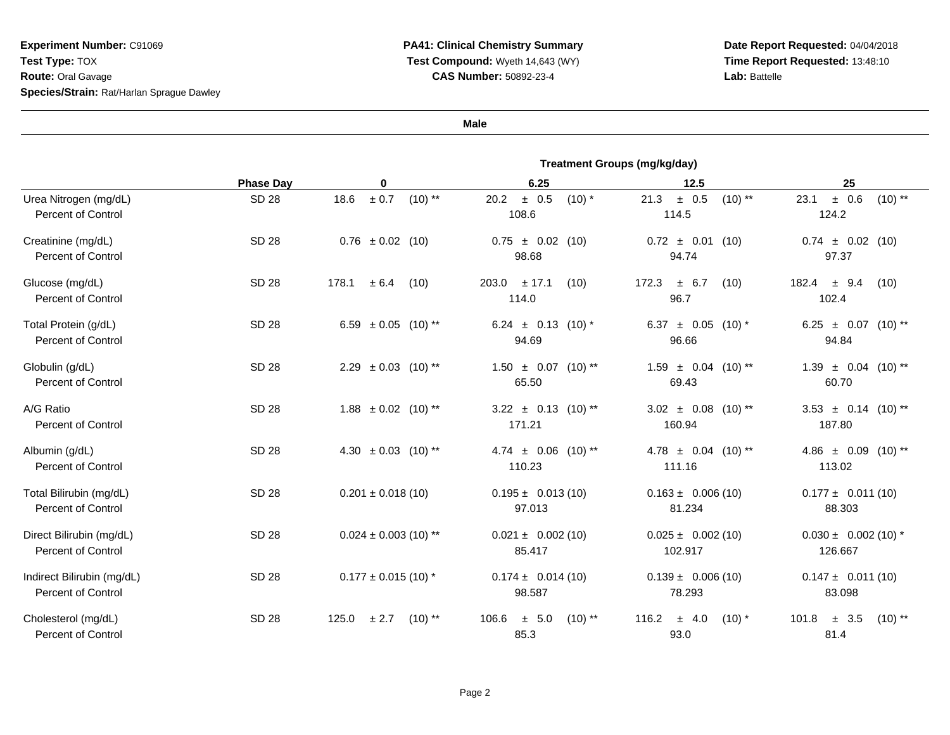**Date Report Requested:** 04/04/2018 **Time Report Requested:** 13:48:10**Lab:** Battelle

**Male**

|                                                         | <b>Treatment Groups (mg/kg/day)</b> |                                    |                                     |                                              |                                         |
|---------------------------------------------------------|-------------------------------------|------------------------------------|-------------------------------------|----------------------------------------------|-----------------------------------------|
|                                                         | <b>Phase Day</b>                    | 0                                  | 6.25                                | 12.5                                         | 25                                      |
| Urea Nitrogen (mg/dL)<br><b>Percent of Control</b>      | <b>SD 28</b>                        | $\pm$ 0.7<br>$(10)$ **<br>18.6     | ± 0.5<br>$(10)$ *<br>20.2<br>108.6  | ± 0.5<br>$(10)$ **<br>21.3<br>114.5          | $(10)$ **<br>± 0.6<br>23.1<br>124.2     |
| Creatinine (mg/dL)<br><b>Percent of Control</b>         | SD 28                               | $0.76 \pm 0.02$ (10)               | $0.75 \pm 0.02$ (10)<br>98.68       | $0.72 \pm 0.01$<br>(10)<br>94.74             | $0.74 \pm 0.02$ (10)<br>97.37           |
| Glucose (mg/dL)<br><b>Percent of Control</b>            | <b>SD 28</b>                        | 178.1<br>$\pm$ 6.4<br>(10)         | $203.0 + 17.1$<br>(10)<br>114.0     | ± 6.7<br>172.3<br>(10)<br>96.7               | $182.4 \pm 9.4$<br>(10)<br>102.4        |
| Total Protein (g/dL)<br>Percent of Control              | <b>SD 28</b>                        | 6.59 $\pm$ 0.05 (10) **            | 6.24 $\pm$ 0.13 (10)*<br>94.69      | 6.37 $\pm$ 0.05 (10) <sup>*</sup><br>96.66   | 6.25 $\pm$ 0.07 (10)**<br>94.84         |
| Globulin (g/dL)<br><b>Percent of Control</b>            | <b>SD 28</b>                        | $2.29 \pm 0.03$ (10) <sup>**</sup> | $1.50 \pm 0.07$ (10) **<br>65.50    | $1.59 \pm 0.04$ (10) **<br>69.43             | $1.39 \pm 0.04$ (10) **<br>60.70        |
| A/G Ratio<br><b>Percent of Control</b>                  | <b>SD 28</b>                        | $1.88 \pm 0.02$ (10) <sup>**</sup> | $3.22 \pm 0.13$ (10)**<br>171.21    | $3.02 \pm 0.08$ (10) **<br>160.94            | $3.53 \pm 0.14$ (10) **<br>187.80       |
| Albumin (g/dL)<br><b>Percent of Control</b>             | <b>SD 28</b>                        | 4.30 $\pm$ 0.03 (10) <sup>**</sup> | $4.74 \pm 0.06$ (10)**<br>110.23    | $4.78 \pm 0.04$ (10) <sup>**</sup><br>111.16 | 4.86 $\pm$ 0.09 (10)**<br>113.02        |
| Total Bilirubin (mg/dL)<br><b>Percent of Control</b>    | <b>SD 28</b>                        | $0.201 \pm 0.018(10)$              | $0.195 \pm 0.013(10)$<br>97.013     | $0.163 \pm 0.006(10)$<br>81.234              | $0.177 \pm 0.011(10)$<br>88.303         |
| Direct Bilirubin (mg/dL)<br><b>Percent of Control</b>   | SD 28                               | $0.024 \pm 0.003$ (10) **          | $0.021 \pm 0.002$ (10)<br>85.417    | $0.025 \pm 0.002$ (10)<br>102.917            | $0.030 \pm 0.002$ (10) *<br>126.667     |
| Indirect Bilirubin (mg/dL)<br><b>Percent of Control</b> | <b>SD 28</b>                        | $0.177 \pm 0.015$ (10) *           | $0.174 \pm 0.014(10)$<br>98.587     | $0.139 \pm 0.006(10)$<br>78.293              | $0.147 \pm 0.011(10)$<br>83.098         |
| Cholesterol (mg/dL)<br><b>Percent of Control</b>        | <b>SD 28</b>                        | ± 2.7<br>$(10)$ **<br>125.0        | ± 5.0<br>$(10)$ **<br>106.6<br>85.3 | 116.2<br>± 4.0<br>$(10)$ *<br>93.0           | $(10)$ **<br>101.8<br>$\pm$ 3.5<br>81.4 |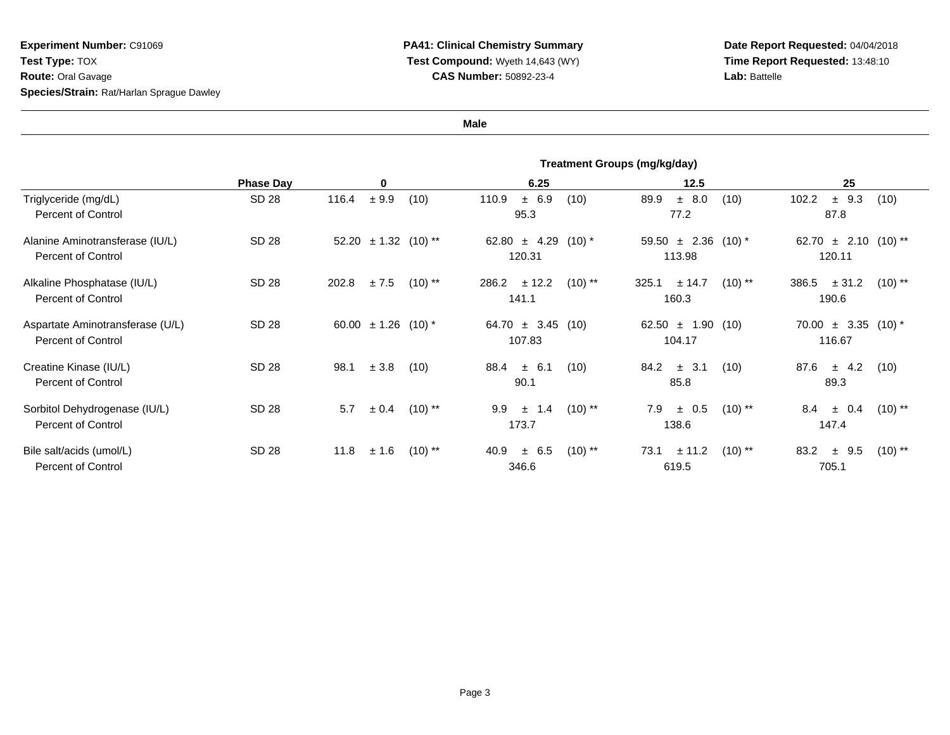**Date Report Requested:** 04/04/2018 **Time Report Requested:** 13:48:10**Lab:** Battelle

**Male**

|                                                               | Treatment Groups (mg/kg/day) |                             |                                          |                                              |                                         |
|---------------------------------------------------------------|------------------------------|-----------------------------|------------------------------------------|----------------------------------------------|-----------------------------------------|
|                                                               | <b>Phase Day</b>             | 0                           | 6.25                                     | 12.5                                         | 25                                      |
| Triglyceride (mg/dL)<br><b>Percent of Control</b>             | SD 28                        | ± 9.9<br>116.4<br>(10)      | ± 6.9<br>110.9<br>(10)<br>95.3           | ± 8.0<br>89.9<br>(10)<br>77.2                | $±$ 9.3<br>(10)<br>102.2<br>87.8        |
| Alanine Aminotransferase (IU/L)<br><b>Percent of Control</b>  | SD 28                        | $\pm$ 1.32 (10) **<br>52.20 | $62.80 \pm 4.29$<br>$(10)^{*}$<br>120.31 | 59.50 $\pm$ 2.36 (10) <sup>*</sup><br>113.98 | 62.70 $\pm$ 2.10 (10)**<br>120.11       |
| Alkaline Phosphatase (IU/L)<br><b>Percent of Control</b>      | SD 28                        | ± 7.5<br>202.8<br>$(10)$ ** | 286.2<br>± 12.2<br>$(10)$ **<br>141.1    | $(10)$ **<br>325.1<br>± 14.7<br>160.3        | $(10)$ **<br>386.5<br>± 31.2<br>190.6   |
| Aspartate Aminotransferase (U/L)<br><b>Percent of Control</b> | SD 28                        | $\pm$ 1.26 (10) *<br>60.00  | $64.70 \pm 3.45$<br>(10)<br>107.83       | $62.50 \pm 1.90$<br>(10)<br>104.17           | $70.00 \pm 3.35 (10)^*$<br>116.67       |
| Creatine Kinase (IU/L)<br>Percent of Control                  | SD 28                        | 98.1<br>± 3.8<br>(10)       | $\pm$ 6.1<br>88.4<br>(10)<br>90.1        | $\pm$ 3.1<br>84.2<br>(10)<br>85.8            | (10)<br>87.6<br>$\pm$ 4.2<br>89.3       |
| Sorbitol Dehydrogenase (IU/L)<br><b>Percent of Control</b>    | SD 28                        | $(10)$ **<br>5.7<br>± 0.4   | 9.9<br>$(10)$ **<br>1.4<br>土<br>173.7    | 7.9<br>$(10)$ **<br>$\pm$ 0.5<br>138.6       | 8.4<br>$(10)$ **<br>± 0.4<br>147.4      |
| Bile salt/acids (umol/L)<br><b>Percent of Control</b>         | SD 28                        | ± 1.6<br>11.8<br>$(10)$ **  | $(10)$ **<br>40.9<br>$\pm$ 6.5<br>346.6  | ± 11.2<br>$(10)$ **<br>73.1<br>619.5         | $(10)$ **<br>83.2<br>$\pm$ 9.5<br>705.1 |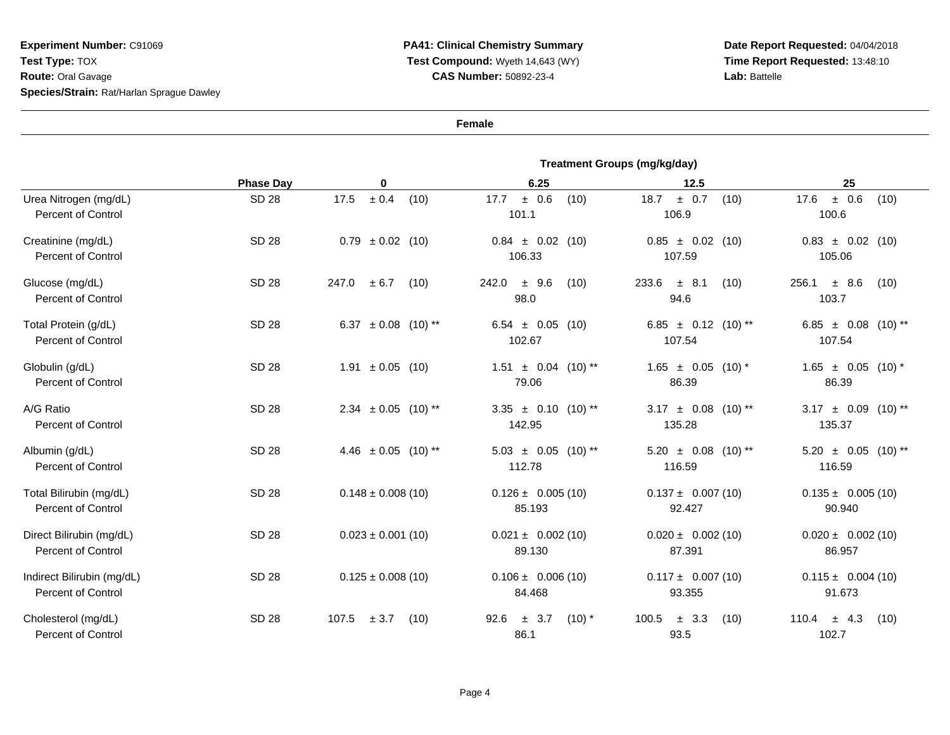**Date Report Requested:** 04/04/2018**Time Report Requested:** 13:48:10**Lab:** Battelle

**Female**

|                                                         | <b>Treatment Groups (mg/kg/day)</b> |                                    |                                          |                                              |                                        |
|---------------------------------------------------------|-------------------------------------|------------------------------------|------------------------------------------|----------------------------------------------|----------------------------------------|
|                                                         | <b>Phase Day</b>                    | 0                                  | 6.25                                     | 12.5                                         | 25                                     |
| Urea Nitrogen (mg/dL)<br><b>Percent of Control</b>      | <b>SD 28</b>                        | $\pm$ 0.4<br>17.5<br>(10)          | ± 0.6<br>17.7<br>(10)<br>101.1           | ± 0.7<br>18.7<br>(10)<br>106.9               | ± 0.6<br>17.6<br>(10)<br>100.6         |
| Creatinine (mg/dL)<br><b>Percent of Control</b>         | SD 28                               | $0.79 \pm 0.02$ (10)               | $0.84 \pm 0.02$ (10)<br>106.33           | $0.85 \pm 0.02$<br>(10)<br>107.59            | $0.83 \pm 0.02$ (10)<br>105.06         |
| Glucose (mg/dL)<br><b>Percent of Control</b>            | SD 28                               | ± 6.7<br>247.0<br>(10)             | 242.0<br>$±$ 9.6<br>(10)<br>98.0         | $\pm$ 8.1<br>233.6<br>(10)<br>94.6           | 256.1<br>± 8.6<br>(10)<br>103.7        |
| Total Protein (g/dL)<br><b>Percent of Control</b>       | <b>SD 28</b>                        | 6.37 $\pm$ 0.08 (10) <sup>**</sup> | $6.54 \pm 0.05$ (10)<br>102.67           | 6.85 $\pm$ 0.12 (10)**<br>107.54             | 6.85 $\pm$ 0.08 (10)**<br>107.54       |
| Globulin (g/dL)<br><b>Percent of Control</b>            | <b>SD 28</b>                        | $1.91 \pm 0.05$ (10)               | $1.51 \pm 0.04$ (10) **<br>79.06         | $1.65 \pm 0.05$ (10) *<br>86.39              | $1.65 \pm 0.05$ (10) *<br>86.39        |
| A/G Ratio<br><b>Percent of Control</b>                  | <b>SD 28</b>                        | $2.34 \pm 0.05$ (10) <sup>**</sup> | $3.35 \pm 0.10$ (10) **<br>142.95        | $3.17 \pm 0.08$ (10) <sup>**</sup><br>135.28 | $3.17 \pm 0.09$<br>$(10)$ **<br>135.37 |
| Albumin (g/dL)<br><b>Percent of Control</b>             | <b>SD 28</b>                        | 4.46 $\pm$ 0.05 (10) **            | $5.03 \pm 0.05$ (10)**<br>112.78         | $5.20 \pm 0.08$ (10) **<br>116.59            | $5.20 \pm 0.05$ (10) **<br>116.59      |
| Total Bilirubin (mg/dL)<br><b>Percent of Control</b>    | <b>SD 28</b>                        | $0.148 \pm 0.008(10)$              | $0.126 \pm 0.005(10)$<br>85.193          | $0.137 \pm 0.007(10)$<br>92.427              | $0.135 \pm 0.005(10)$<br>90.940        |
| Direct Bilirubin (mg/dL)<br><b>Percent of Control</b>   | SD 28                               | $0.023 \pm 0.001$ (10)             | $0.021 \pm 0.002$ (10)<br>89.130         | $0.020 \pm 0.002$ (10)<br>87.391             | $0.020 \pm 0.002$ (10)<br>86.957       |
| Indirect Bilirubin (mg/dL)<br><b>Percent of Control</b> | <b>SD 28</b>                        | $0.125 \pm 0.008(10)$              | $0.106 \pm 0.006(10)$<br>84.468          | $0.117 \pm 0.007(10)$<br>93.355              | $0.115 \pm 0.004(10)$<br>91.673        |
| Cholesterol (mg/dL)<br><b>Percent of Control</b>        | SD 28                               | ± 3.7<br>107.5<br>(10)             | 92.6<br>3.7<br>$(10)$ *<br>$\pm$<br>86.1 | 100.5<br>$\pm$ 3.3<br>(10)<br>93.5           | 110.4<br>$\pm$ 4.3<br>(10)<br>102.7    |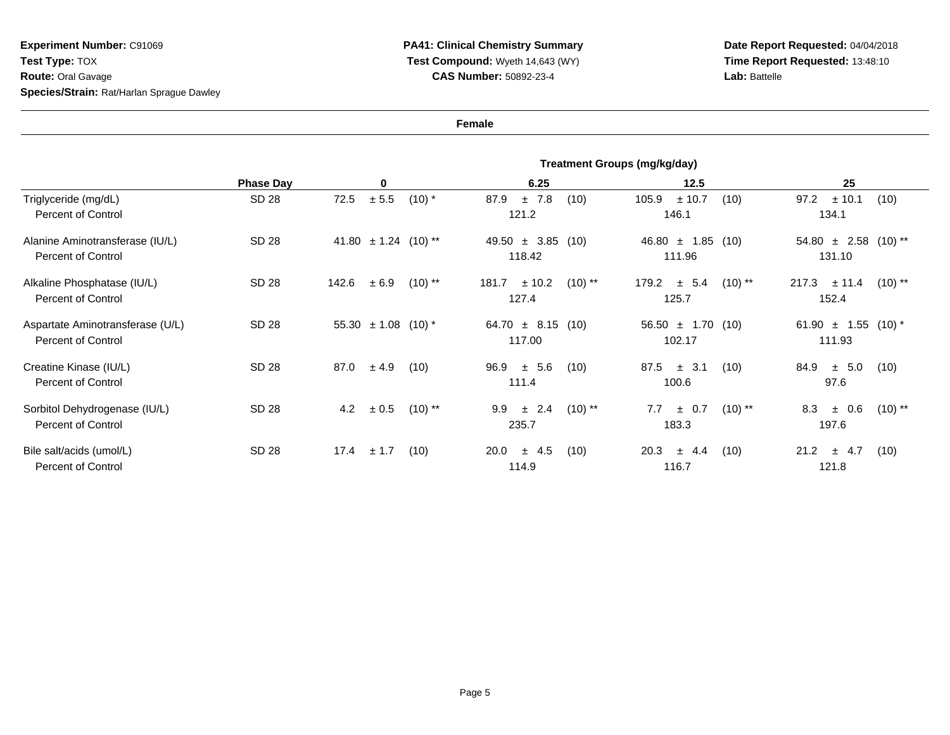## **PA41: Clinical Chemistry Summary Test Compound:** Wyeth 14,643 (WY)**CAS Number:** 50892-23-4

**Date Report Requested:** 04/04/2018 **Time Report Requested:** 13:48:10**Lab:** Battelle

**Female**

|                                                               | Treatment Groups (mg/kg/day) |                               |                                        |                                        |                                        |
|---------------------------------------------------------------|------------------------------|-------------------------------|----------------------------------------|----------------------------------------|----------------------------------------|
|                                                               | <b>Phase Day</b>             | 0                             | 6.25                                   | 12.5                                   | 25                                     |
| Triglyceride (mg/dL)<br><b>Percent of Control</b>             | SD 28                        | ± 5.5<br>72.5<br>$(10)$ *     | ±7.8<br>(10)<br>87.9<br>121.2          | 105.9<br>± 10.7<br>(10)<br>146.1       | ± 10.1<br>97.2<br>(10)<br>134.1        |
| Alanine Aminotransferase (IU/L)<br><b>Percent of Control</b>  | SD 28                        | 41.80 $\pm$ 1.24 (10)**       | 49.50 $\pm$ 3.85 (10)<br>118.42        | $46.80 \pm 1.85$ (10)<br>111.96        | $54.80 \pm 2.58$ (10) **<br>131.10     |
| Alkaline Phosphatase (IU/L)<br><b>Percent of Control</b>      | SD 28                        | 142.6<br>± 6.9<br>$(10)$ **   | ± 10.2<br>$(10)$ **<br>181.7<br>127.4  | ± 5.4<br>$(10)$ **<br>179.2<br>125.7   | $(10)$ **<br>$217.3 \pm 11.4$<br>152.4 |
| Aspartate Aminotransferase (U/L)<br><b>Percent of Control</b> | SD 28                        | 55.30 $\pm$ 1.08 (10) *       | $64.70 \pm 8.15$ (10)<br>117.00        | $56.50 \pm 1.70$ (10)<br>102.17        | 61.90 $\pm$ 1.55 (10) *<br>111.93      |
| Creatine Kinase (IU/L)<br><b>Percent of Control</b>           | SD 28                        | 87.0<br>± 4.9<br>(10)         | ± 5.6<br>96.9<br>(10)<br>111.4         | 87.5<br>$\pm$ 3.1<br>(10)<br>100.6     | 84.9<br>$\pm$ 5.0<br>(10)<br>97.6      |
| Sorbitol Dehydrogenase (IU/L)<br><b>Percent of Control</b>    | SD 28                        | $\pm 0.5$<br>$(10)$ **<br>4.2 | 9.9<br>$\pm$ 2.4<br>$(10)$ **<br>235.7 | $\pm$ 0.7<br>$(10)$ **<br>7.7<br>183.3 | 8.3<br>± 0.6<br>$(10)$ **<br>197.6     |
| Bile salt/acids (umol/L)<br><b>Percent of Control</b>         | SD 28                        | 17.4<br>$\pm$ 1.7<br>(10)     | $\pm$ 4.5<br>20.0<br>(10)<br>114.9     | 20.3<br>± 4.4<br>(10)<br>116.7         | 21.2<br>$\pm$ 4.7<br>(10)<br>121.8     |